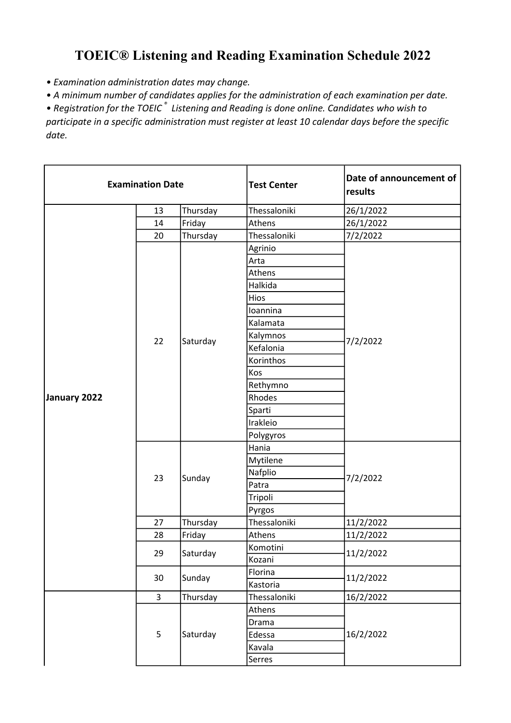## TOEIC® Listening and Reading Examination Schedule 2022

• Examination administration dates may change.

• A minimum number of candidates applies for the administration of each examination per date.

• Registration for the TOEIC<sup>®</sup> Listening and Reading is done online. Candidates who wish to participate in a specific administration must register at least 10 calendar days before the specific date.

| <b>Examination Date</b> |                |          | <b>Test Center</b> | Date of announcement of<br>results |
|-------------------------|----------------|----------|--------------------|------------------------------------|
|                         | 13             | Thursday | Thessaloniki       | 26/1/2022                          |
|                         | 14             | Friday   | Athens             | 26/1/2022                          |
|                         | 20             | Thursday | Thessaloniki       | 7/2/2022                           |
|                         |                |          | Agrinio            |                                    |
|                         |                |          | Arta               |                                    |
|                         |                |          | Athens             |                                    |
|                         |                |          | Halkida            |                                    |
|                         |                |          | Hios               |                                    |
|                         |                |          | Ioannina           |                                    |
|                         |                |          | Kalamata           |                                    |
|                         |                |          | Kalymnos           |                                    |
|                         | 22             | Saturday | Kefalonia          | 7/2/2022                           |
|                         |                |          | Korinthos          |                                    |
|                         |                |          | Kos                |                                    |
|                         |                |          | Rethymno           |                                    |
| January 2022            |                |          | Rhodes             |                                    |
|                         |                |          | Sparti             |                                    |
|                         |                |          | Irakleio           |                                    |
|                         |                |          | Polygyros          |                                    |
|                         |                | Sunday   | Hania              | 7/2/2022                           |
|                         |                |          | Mytilene           |                                    |
|                         | 23             |          | Nafplio            |                                    |
|                         |                |          | Patra              |                                    |
|                         |                |          | Tripoli            |                                    |
|                         |                |          | Pyrgos             |                                    |
|                         | 27             | Thursday | Thessaloniki       | 11/2/2022                          |
|                         | 28             | Friday   | Athens             | 11/2/2022                          |
|                         | 29             |          | Komotini           |                                    |
|                         |                | Saturday | Kozani             | 11/2/2022                          |
|                         | 30             |          | Florina            | 11/2/2022                          |
|                         |                | Sunday   | Kastoria           |                                    |
|                         | $\overline{3}$ | Thursday | Thessaloniki       | 16/2/2022                          |
|                         |                |          | Athens             |                                    |
|                         |                |          | Drama              |                                    |
|                         | 5              | Saturday | Edessa             | 16/2/2022                          |
|                         |                |          | Kavala             |                                    |
|                         |                |          | Serres             |                                    |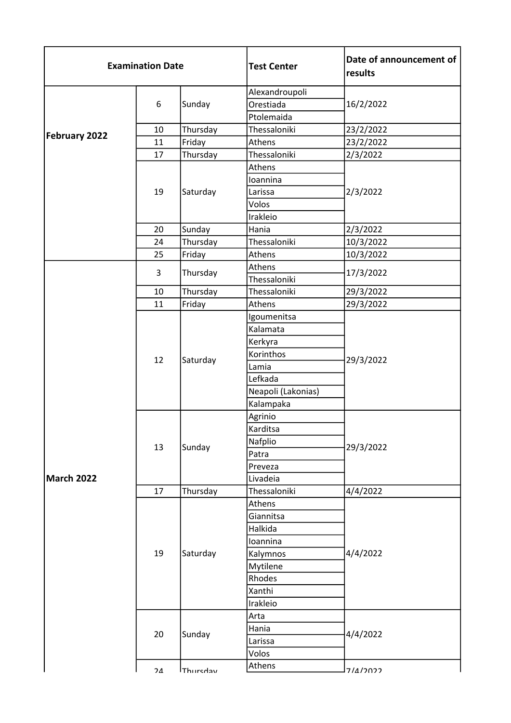| <b>Examination Date</b> |    |                    | <b>Test Center</b> | Date of announcement of<br>results |
|-------------------------|----|--------------------|--------------------|------------------------------------|
|                         |    |                    | Alexandroupoli     |                                    |
|                         | 6  | Sunday             | Orestiada          | 16/2/2022                          |
|                         |    |                    | Ptolemaida         |                                    |
| <b>February 2022</b>    | 10 | Thursday           | Thessaloniki       | 23/2/2022                          |
|                         | 11 | Friday             | Athens             | 23/2/2022                          |
|                         | 17 | Thursday           | Thessaloniki       | 2/3/2022                           |
|                         |    |                    | Athens             |                                    |
|                         |    |                    | Ioannina           | 2/3/2022                           |
|                         | 19 | Saturday           | Larissa            |                                    |
|                         |    |                    | Volos              |                                    |
|                         |    | Irakleio           |                    |                                    |
|                         | 20 | Sunday             | Hania              | 2/3/2022                           |
|                         | 24 | Thursday           | Thessaloniki       | 10/3/2022                          |
|                         | 25 | Friday             | Athens             | 10/3/2022                          |
|                         | 3  | Thursday           | Athens             | 17/3/2022                          |
|                         |    |                    | Thessaloniki       |                                    |
|                         | 10 | Thursday           | Thessaloniki       | 29/3/2022                          |
|                         | 11 | Friday             | Athens             | 29/3/2022                          |
|                         |    |                    | Igoumenitsa        |                                    |
|                         | 12 |                    | Kalamata           |                                    |
|                         |    |                    | Kerkyra            |                                    |
|                         |    | Saturday           | Korinthos          | 29/3/2022                          |
|                         |    |                    | Lamia              |                                    |
|                         |    |                    | Lefkada            |                                    |
|                         |    |                    | Neapoli (Lakonias) |                                    |
|                         |    |                    | Kalampaka          |                                    |
|                         |    |                    | Agrinio            |                                    |
|                         |    |                    | Karditsa           |                                    |
|                         | 13 | Sunday             | Nafplio            | 29/3/2022                          |
| <b>March 2022</b>       |    |                    | Patra              |                                    |
|                         |    |                    | Preveza            |                                    |
|                         |    |                    | Livadeia           |                                    |
|                         | 17 | Thursday           | Thessaloniki       | 4/4/2022                           |
|                         | 19 |                    | Athens             |                                    |
|                         |    |                    | Giannitsa          |                                    |
|                         |    |                    | Halkida            |                                    |
|                         |    |                    | Ioannina           |                                    |
|                         |    | Saturday           | Kalymnos           | 4/4/2022                           |
|                         |    |                    | Mytilene           |                                    |
|                         |    |                    | Rhodes             |                                    |
|                         |    | Xanthi<br>Irakleio |                    |                                    |
|                         |    |                    |                    |                                    |
|                         |    |                    | Arta               |                                    |
|                         | 20 | Sunday             | Hania              | 4/4/2022                           |
|                         |    |                    | Larissa            |                                    |
|                         |    |                    | Volos              |                                    |
|                         | 21 | <b>Thurcday</b>    | Athens             | 7111000                            |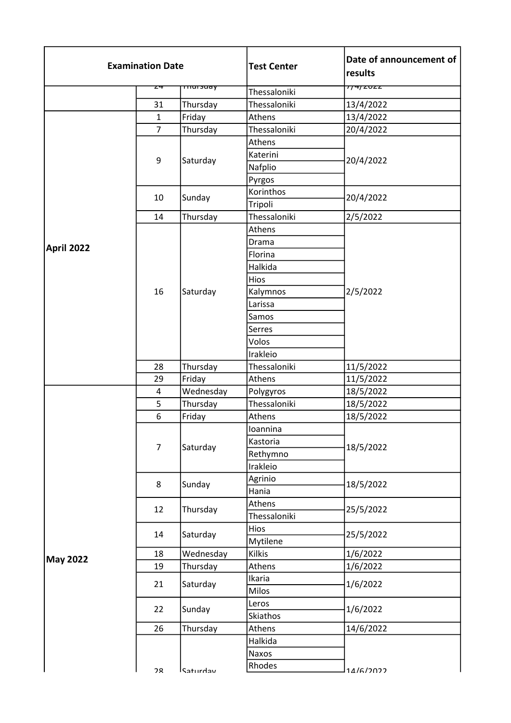| <b>Examination Date</b> |                |                    | <b>Test Center</b> | Date of announcement of<br>results |
|-------------------------|----------------|--------------------|--------------------|------------------------------------|
|                         | ᅎ              | <del>mursuay</del> | Thessaloniki       | 77472022                           |
|                         | 31             | Thursday           | Thessaloniki       | 13/4/2022                          |
|                         | $\mathbf{1}$   | Friday             | Athens             | 13/4/2022                          |
|                         | $\overline{7}$ | Thursday           | Thessaloniki       | 20/4/2022                          |
|                         |                |                    | Athens             |                                    |
|                         |                |                    | Katerini           |                                    |
|                         | 9              | Saturday           | Nafplio            | 20/4/2022                          |
|                         |                |                    | Pyrgos             |                                    |
|                         |                |                    | Korinthos          |                                    |
|                         | 10             | Sunday             | Tripoli            | 20/4/2022                          |
|                         | 14             | Thursday           | Thessaloniki       | 2/5/2022                           |
|                         |                |                    | Athens             |                                    |
|                         |                |                    | Drama              |                                    |
| April 2022              |                |                    | Florina            |                                    |
|                         |                |                    | Halkida            |                                    |
|                         |                |                    | Hios               |                                    |
|                         | 16             | Saturday           | Kalymnos           | 2/5/2022                           |
|                         |                |                    | Larissa            |                                    |
|                         |                |                    | Samos              |                                    |
|                         |                |                    | Serres             |                                    |
|                         |                |                    | Volos              |                                    |
|                         |                |                    | Irakleio           |                                    |
|                         | 28             | Thursday           | Thessaloniki       | 11/5/2022                          |
|                         | 29             | Friday             | Athens             | 11/5/2022                          |
|                         | 4              | Wednesday          | Polygyros          | 18/5/2022                          |
|                         | 5              | Thursday           | Thessaloniki       | 18/5/2022                          |
|                         | 6              | Friday             | Athens             | 18/5/2022                          |
|                         |                |                    | Ioannina           |                                    |
|                         | $\overline{7}$ | Saturday           | Kastoria           | 18/5/2022                          |
|                         |                |                    | Rethymno           |                                    |
|                         |                |                    | Irakleio           |                                    |
|                         | 8              | Sunday             | Agrinio            | 18/5/2022                          |
|                         |                |                    | Hania              |                                    |
|                         | 12             | Thursday           | Athens             | 25/5/2022                          |
|                         |                |                    | Thessaloniki       |                                    |
|                         | 14             | Saturday           | Hios               | 25/5/2022                          |
|                         |                |                    | Mytilene           |                                    |
| <b>May 2022</b>         | 18             | Wednesday          | <b>Kilkis</b>      | 1/6/2022                           |
|                         | 19             | Thursday           | Athens             | 1/6/2022                           |
|                         | 21             | Saturday           | Ikaria             | 1/6/2022                           |
|                         |                |                    | Milos              |                                    |
|                         | 22             |                    | Leros              |                                    |
|                         | Sunday         |                    | Skiathos           | 1/6/2022                           |
|                         | 26             | Thursday           | Athens             | 14/6/2022                          |
|                         |                |                    | Halkida            |                                    |
|                         |                |                    | Naxos              |                                    |
|                         | ንՋ             | l Caturday         | Rhodes             | $11/6/2022$                        |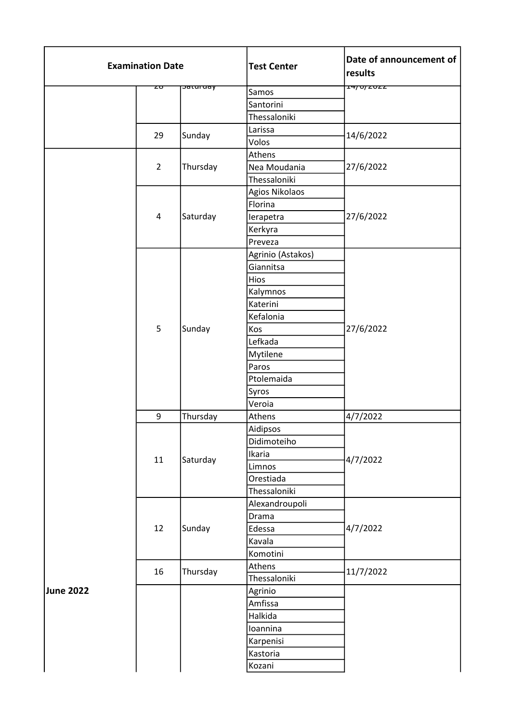| ᠴᡃᡟᠨᡋᢧ᠌᠌ <i>᠊ᡓ</i> ᡉᡓᡓ<br><del>saturuay</del><br>zσ<br>Samos<br>Santorini<br>Thessaloniki<br>Larissa<br>Sunday<br>14/6/2022<br>29<br>Volos<br>Athens<br>Thursday<br>Nea Moudania<br>27/6/2022<br>$\overline{2}$<br>Thessaloniki<br>Agios Nikolaos<br>Florina<br>Saturday<br>27/6/2022<br>4<br>lerapetra<br>Kerkyra<br>Preveza<br>Agrinio (Astakos)<br>Giannitsa<br>Hios<br>Kalymnos<br>Katerini<br>Kefalonia<br>5<br>Sunday<br>27/6/2022<br>Kos<br>Lefkada<br>Mytilene<br>Paros<br>Ptolemaida<br>Syros |
|--------------------------------------------------------------------------------------------------------------------------------------------------------------------------------------------------------------------------------------------------------------------------------------------------------------------------------------------------------------------------------------------------------------------------------------------------------------------------------------------------------|
|                                                                                                                                                                                                                                                                                                                                                                                                                                                                                                        |
|                                                                                                                                                                                                                                                                                                                                                                                                                                                                                                        |
|                                                                                                                                                                                                                                                                                                                                                                                                                                                                                                        |
|                                                                                                                                                                                                                                                                                                                                                                                                                                                                                                        |
|                                                                                                                                                                                                                                                                                                                                                                                                                                                                                                        |
|                                                                                                                                                                                                                                                                                                                                                                                                                                                                                                        |
|                                                                                                                                                                                                                                                                                                                                                                                                                                                                                                        |
|                                                                                                                                                                                                                                                                                                                                                                                                                                                                                                        |
|                                                                                                                                                                                                                                                                                                                                                                                                                                                                                                        |
|                                                                                                                                                                                                                                                                                                                                                                                                                                                                                                        |
|                                                                                                                                                                                                                                                                                                                                                                                                                                                                                                        |
|                                                                                                                                                                                                                                                                                                                                                                                                                                                                                                        |
|                                                                                                                                                                                                                                                                                                                                                                                                                                                                                                        |
|                                                                                                                                                                                                                                                                                                                                                                                                                                                                                                        |
|                                                                                                                                                                                                                                                                                                                                                                                                                                                                                                        |
|                                                                                                                                                                                                                                                                                                                                                                                                                                                                                                        |
|                                                                                                                                                                                                                                                                                                                                                                                                                                                                                                        |
|                                                                                                                                                                                                                                                                                                                                                                                                                                                                                                        |
|                                                                                                                                                                                                                                                                                                                                                                                                                                                                                                        |
|                                                                                                                                                                                                                                                                                                                                                                                                                                                                                                        |
|                                                                                                                                                                                                                                                                                                                                                                                                                                                                                                        |
|                                                                                                                                                                                                                                                                                                                                                                                                                                                                                                        |
|                                                                                                                                                                                                                                                                                                                                                                                                                                                                                                        |
|                                                                                                                                                                                                                                                                                                                                                                                                                                                                                                        |
|                                                                                                                                                                                                                                                                                                                                                                                                                                                                                                        |
| Veroia                                                                                                                                                                                                                                                                                                                                                                                                                                                                                                 |
| Thursday<br>9<br>Athens<br>4/7/2022                                                                                                                                                                                                                                                                                                                                                                                                                                                                    |
| Aidipsos                                                                                                                                                                                                                                                                                                                                                                                                                                                                                               |
| Didimoteiho                                                                                                                                                                                                                                                                                                                                                                                                                                                                                            |
| Ikaria                                                                                                                                                                                                                                                                                                                                                                                                                                                                                                 |
| 4/7/2022<br>11<br>Saturday<br>Limnos                                                                                                                                                                                                                                                                                                                                                                                                                                                                   |
| Orestiada                                                                                                                                                                                                                                                                                                                                                                                                                                                                                              |
| Thessaloniki                                                                                                                                                                                                                                                                                                                                                                                                                                                                                           |
| Alexandroupoli                                                                                                                                                                                                                                                                                                                                                                                                                                                                                         |
| Drama                                                                                                                                                                                                                                                                                                                                                                                                                                                                                                  |
| 4/7/2022<br>12<br>Sunday<br>Edessa                                                                                                                                                                                                                                                                                                                                                                                                                                                                     |
| Kavala                                                                                                                                                                                                                                                                                                                                                                                                                                                                                                 |
| Komotini                                                                                                                                                                                                                                                                                                                                                                                                                                                                                               |
| Athens                                                                                                                                                                                                                                                                                                                                                                                                                                                                                                 |
| 16<br>Thursday<br>11/7/2022<br>Thessaloniki                                                                                                                                                                                                                                                                                                                                                                                                                                                            |
| June 2022<br>Agrinio                                                                                                                                                                                                                                                                                                                                                                                                                                                                                   |
| Amfissa                                                                                                                                                                                                                                                                                                                                                                                                                                                                                                |
| Halkida                                                                                                                                                                                                                                                                                                                                                                                                                                                                                                |
| Ioannina                                                                                                                                                                                                                                                                                                                                                                                                                                                                                               |
| Karpenisi                                                                                                                                                                                                                                                                                                                                                                                                                                                                                              |
| Kastoria                                                                                                                                                                                                                                                                                                                                                                                                                                                                                               |
| Kozani                                                                                                                                                                                                                                                                                                                                                                                                                                                                                                 |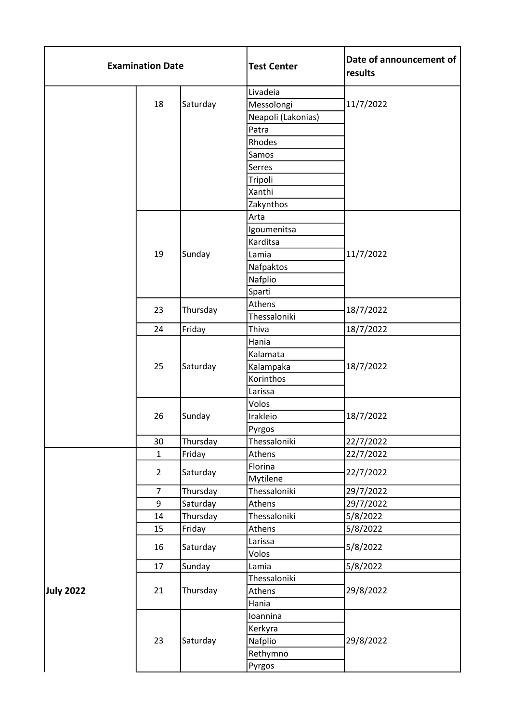| <b>Examination Date</b> |                |                | <b>Test Center</b> | Date of announcement of<br>results |
|-------------------------|----------------|----------------|--------------------|------------------------------------|
|                         |                |                | Livadeia           |                                    |
|                         | 18             | Saturday       | Messolongi         | 11/7/2022                          |
|                         |                |                | Neapoli (Lakonias) |                                    |
|                         |                |                | Patra              |                                    |
|                         |                |                | Rhodes             |                                    |
|                         |                |                | Samos              |                                    |
|                         |                |                | Serres             |                                    |
|                         |                |                | Tripoli            |                                    |
|                         |                |                | Xanthi             |                                    |
|                         |                |                | Zakynthos          |                                    |
|                         |                |                | Arta               |                                    |
|                         |                |                | Igoumenitsa        |                                    |
|                         |                |                | Karditsa           |                                    |
|                         | 19             | Sunday         | Lamia              | 11/7/2022                          |
|                         |                |                | Nafpaktos          |                                    |
|                         |                |                | Nafplio            |                                    |
|                         |                |                | Sparti             |                                    |
|                         |                |                | Athens             |                                    |
|                         | 23             | Thursday       | Thessaloniki       | 18/7/2022                          |
|                         | 24             | Friday         | Thiva              | 18/7/2022                          |
|                         |                |                | Hania              |                                    |
|                         |                |                | Kalamata           |                                    |
|                         | 25             | Saturday       | Kalampaka          | 18/7/2022                          |
|                         |                |                | Korinthos          |                                    |
|                         |                |                | Larissa            |                                    |
|                         |                |                | Volos              |                                    |
|                         | 26             | Sunday         | Irakleio           | 18/7/2022                          |
|                         |                |                | Pyrgos             |                                    |
|                         | 30             | Thursday       | Thessaloniki       | 22/7/2022                          |
|                         | $\mathbf{1}$   | Friday         | Athens             | 22/7/2022                          |
|                         | $\overline{2}$ | Saturday       | Florina            | 22/7/2022                          |
|                         |                |                | Mytilene           |                                    |
|                         | $\overline{7}$ | Thursday       | Thessaloniki       | 29/7/2022                          |
|                         | 9              | Saturday       | Athens             | 29/7/2022                          |
|                         | 14             | Thursday       | Thessaloniki       | 5/8/2022                           |
|                         | 15             | Friday         | Athens             | 5/8/2022                           |
|                         | 16             | Saturday       | Larissa            | 5/8/2022                           |
|                         |                |                | Volos              |                                    |
|                         | 17             | Sunday         | Lamia              | 5/8/2022                           |
| July 2022<br>21         |                |                | Thessaloniki       |                                    |
|                         | Thursday       | Athens         | 29/8/2022          |                                    |
|                         |                |                | Hania              |                                    |
|                         |                | 23<br>Saturday | Ioannina           |                                    |
|                         |                |                | Kerkyra            |                                    |
|                         |                |                | Nafplio            | 29/8/2022                          |
|                         |                | Rethymno       |                    |                                    |
|                         |                |                | Pyrgos             |                                    |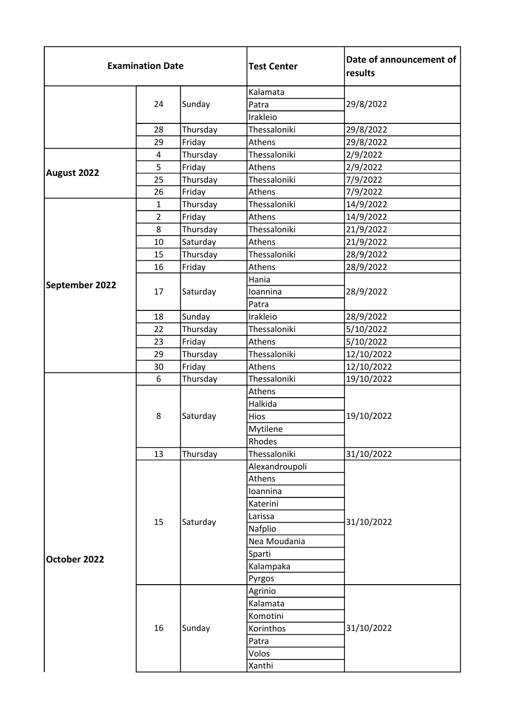| <b>Examination Date</b> |                | <b>Test Center</b> | Date of announcement of<br>results |            |
|-------------------------|----------------|--------------------|------------------------------------|------------|
|                         | 24             |                    | Kalamata                           |            |
|                         |                | Sunday             | Patra                              | 29/8/2022  |
|                         |                |                    | Irakleio                           |            |
|                         | 28             | Thursday           | Thessaloniki                       | 29/8/2022  |
|                         | 29             | Friday             | Athens                             | 29/8/2022  |
|                         | 4              | Thursday           | Thessaloniki                       | 2/9/2022   |
| August 2022             | 5              | Friday             | Athens                             | 2/9/2022   |
|                         | 25             | Thursday           | Thessaloniki                       | 7/9/2022   |
|                         | 26             | Friday             | Athens                             | 7/9/2022   |
|                         | $\mathbf{1}$   | Thursday           | Thessaloniki                       | 14/9/2022  |
|                         | $\overline{2}$ | Friday             | Athens                             | 14/9/2022  |
|                         | 8              | Thursday           | Thessaloniki                       | 21/9/2022  |
|                         | 10             | Saturday           | Athens                             | 21/9/2022  |
|                         | 15             | Thursday           | Thessaloniki                       | 28/9/2022  |
|                         | 16             | Friday             | Athens                             | 28/9/2022  |
| September 2022          |                | Saturday           | Hania                              |            |
|                         | 17             |                    | Ioannina                           | 28/9/2022  |
|                         |                |                    | Patra                              |            |
|                         | 18             | Sunday             | Irakleio                           | 28/9/2022  |
|                         | 22             | Thursday           | Thessaloniki                       | 5/10/2022  |
|                         | 23             | Friday             | Athens                             | 5/10/2022  |
|                         | 29             | Thursday           | Thessaloniki                       | 12/10/2022 |
|                         | 30             | Friday             | Athens                             | 12/10/2022 |
|                         | 6              | Thursday           | Thessaloniki                       | 19/10/2022 |
|                         |                |                    | Athens                             |            |
|                         |                |                    | Halkida                            |            |
|                         | 8              | Saturday           | Hios                               | 19/10/2022 |
|                         |                |                    | Mytilene                           |            |
|                         |                |                    | Rhodes                             |            |
|                         | 13             | Thursday           | Thessaloniki                       | 31/10/2022 |
|                         |                |                    | Alexandroupoli                     |            |
|                         |                |                    | Athens                             |            |
|                         |                |                    | Ioannina                           |            |
|                         | 15             |                    | Katerini                           | 31/10/2022 |
|                         |                | Saturday           | Larissa                            |            |
|                         |                |                    | Nafplio                            |            |
| October 2022            |                |                    | Nea Moudania                       |            |
|                         |                |                    | Sparti                             |            |
|                         |                |                    | Kalampaka                          |            |
|                         |                |                    | Pyrgos                             |            |
|                         |                |                    | Agrinio                            |            |
|                         |                |                    | Kalamata                           |            |
|                         |                |                    | Komotini                           |            |
|                         | 16             | Sunday             | Korinthos                          | 31/10/2022 |
|                         |                |                    | Patra                              |            |
|                         |                |                    | Volos                              |            |
|                         |                |                    | Xanthi                             |            |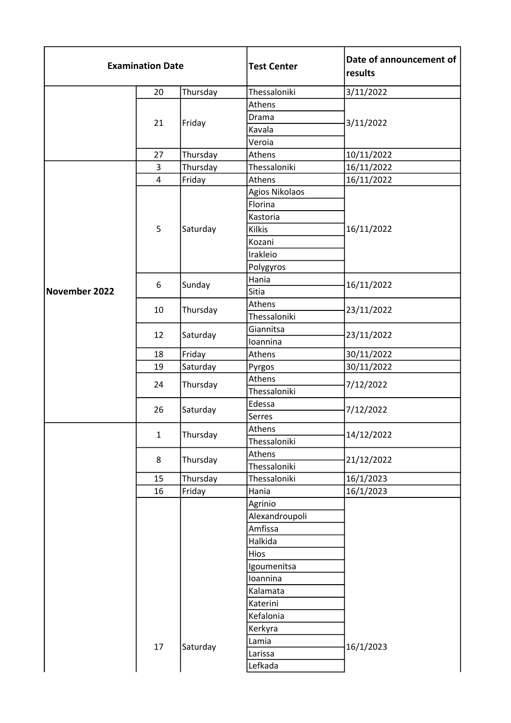| <b>Examination Date</b> |              |          | <b>Test Center</b> | Date of announcement of<br>results |
|-------------------------|--------------|----------|--------------------|------------------------------------|
|                         | 20           | Thursday | Thessaloniki       | 3/11/2022                          |
|                         |              |          | Athens             |                                    |
|                         | 21           |          | Drama              |                                    |
|                         |              | Friday   | Kavala             | 3/11/2022                          |
|                         |              |          | Veroia             |                                    |
|                         | 27           | Thursday | Athens             | 10/11/2022                         |
|                         | 3            | Thursday | Thessaloniki       | 16/11/2022                         |
|                         | 4            | Friday   | Athens             | 16/11/2022                         |
|                         |              |          | Agios Nikolaos     |                                    |
|                         |              |          | Florina            |                                    |
|                         |              |          | Kastoria           |                                    |
|                         | 5            | Saturday | <b>Kilkis</b>      | 16/11/2022                         |
|                         |              |          | Kozani             |                                    |
|                         |              |          | Irakleio           |                                    |
|                         |              |          | Polygyros          |                                    |
|                         | 6            | Sunday   | Hania              | 16/11/2022                         |
| November 2022           |              |          | Sitia              |                                    |
|                         | 10           | Thursday | Athens             | 23/11/2022                         |
|                         |              |          | Thessaloniki       |                                    |
|                         | 12           | Saturday | Giannitsa          | 23/11/2022                         |
|                         |              |          | Ioannina           |                                    |
|                         | 18           | Friday   | Athens             | 30/11/2022                         |
|                         | 19           | Saturday | Pyrgos             | 30/11/2022                         |
|                         | 24           | Thursday | Athens             | 7/12/2022                          |
|                         |              |          | Thessaloniki       |                                    |
|                         | 26           | Saturday | Edessa             | 7/12/2022                          |
|                         |              |          | Serres             |                                    |
|                         | $\mathbf{1}$ | Thursday | Athens             | 14/12/2022                         |
|                         |              |          | Thessaloniki       |                                    |
|                         | 8            | Thursday | Athens             | 21/12/2022                         |
|                         |              |          | Thessaloniki       |                                    |
|                         | 15           | Thursday | Thessaloniki       | 16/1/2023                          |
|                         | 16           | Friday   | Hania              | 16/1/2023                          |
|                         |              |          | Agrinio            |                                    |
|                         |              |          | Alexandroupoli     |                                    |
|                         |              |          | Amfissa            |                                    |
|                         |              |          | Halkida            |                                    |
|                         |              |          | Hios               |                                    |
|                         |              |          | Igoumenitsa        |                                    |
|                         |              |          | Ioannina           |                                    |
|                         |              |          | Kalamata           |                                    |
|                         |              |          | Katerini           |                                    |
|                         |              |          | Kefalonia          |                                    |
|                         |              |          | Kerkyra            |                                    |
|                         | 17           | Saturday | Lamia              | 16/1/2023                          |
|                         |              |          | Larissa            |                                    |
|                         |              |          | Lefkada            |                                    |